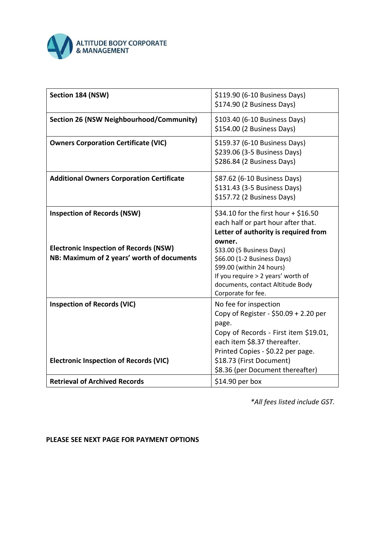

| Section 184 (NSW)                                                                           | \$119.90 (6-10 Business Days)<br>\$174.90 (2 Business Days)                                                                                                                                                        |
|---------------------------------------------------------------------------------------------|--------------------------------------------------------------------------------------------------------------------------------------------------------------------------------------------------------------------|
| Section 26 (NSW Neighbourhood/Community)                                                    | \$103.40 (6-10 Business Days)<br>\$154.00 (2 Business Days)                                                                                                                                                        |
| <b>Owners Corporation Certificate (VIC)</b>                                                 | \$159.37 (6-10 Business Days)<br>\$239.06 (3-5 Business Days)<br>\$286.84 (2 Business Days)                                                                                                                        |
| <b>Additional Owners Corporation Certificate</b>                                            | \$87.62 (6-10 Business Days)<br>\$131.43 (3-5 Business Days)<br>\$157.72 (2 Business Days)                                                                                                                         |
| <b>Inspection of Records (NSW)</b>                                                          | \$34.10 for the first hour + \$16.50<br>each half or part hour after that.<br>Letter of authority is required from                                                                                                 |
| <b>Electronic Inspection of Records (NSW)</b><br>NB: Maximum of 2 years' worth of documents | owner.<br>\$33.00 (5 Business Days)<br>\$66.00 (1-2 Business Days)<br>\$99.00 (within 24 hours)<br>If you require > 2 years' worth of<br>documents, contact Altitude Body<br>Corporate for fee.                    |
| <b>Inspection of Records (VIC)</b><br><b>Electronic Inspection of Records (VIC)</b>         | No fee for inspection<br>Copy of Register - $$50.09 + 2.20$ per<br>page.<br>Copy of Records - First item \$19.01,<br>each item \$8.37 thereafter.<br>Printed Copies - \$0.22 per page.<br>\$18.73 (First Document) |
|                                                                                             | \$8.36 (per Document thereafter)                                                                                                                                                                                   |
| <b>Retrieval of Archived Records</b>                                                        | \$14.90 per box                                                                                                                                                                                                    |

*\*All fees listed include GST.* 

**PLEASE SEE NEXT PAGE FOR PAYMENT OPTIONS**